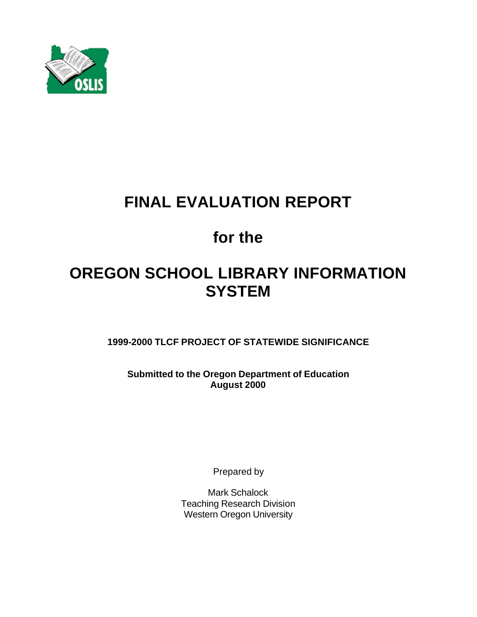

# **FINAL EVALUATION REPORT**

# **for the**

# **OREGON SCHOOL LIBRARY INFORMATION SYSTEM**

**1999-2000 TLCF PROJECT OF STATEWIDE SIGNIFICANCE**

**Submitted to the Oregon Department of Education August 2000**

Prepared by

Mark Schalock Teaching Research Division Western Oregon University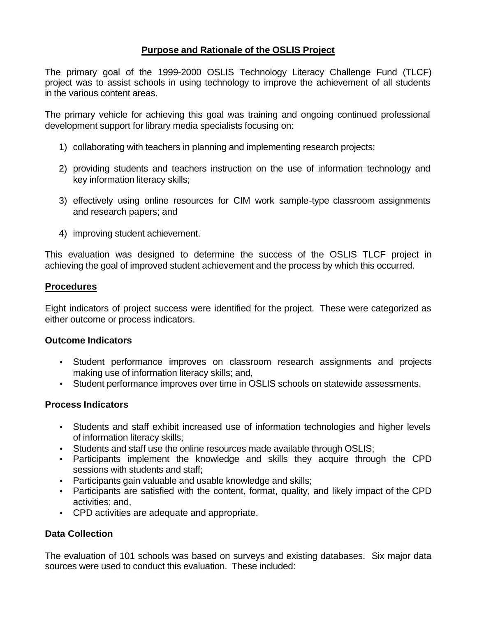## **Purpose and Rationale of the OSLIS Project**

The primary goal of the 1999-2000 OSLIS Technology Literacy Challenge Fund (TLCF) project was to assist schools in using technology to improve the achievement of all students in the various content areas.

The primary vehicle for achieving this goal was training and ongoing continued professional development support for library media specialists focusing on:

- 1) collaborating with teachers in planning and implementing research projects;
- 2) providing students and teachers instruction on the use of information technology and key information literacy skills;
- 3) effectively using online resources for CIM work sample-type classroom assignments and research papers; and
- 4) improving student achievement.

This evaluation was designed to determine the success of the OSLIS TLCF project in achieving the goal of improved student achievement and the process by which this occurred.

#### **Procedures**

Eight indicators of project success were identified for the project. These were categorized as either outcome or process indicators.

#### **Outcome Indicators**

- Student performance improves on classroom research assignments and projects making use of information literacy skills; and,
- Student performance improves over time in OSLIS schools on statewide assessments.

### **Process Indicators**

- Students and staff exhibit increased use of information technologies and higher levels of information literacy skills;
- Students and staff use the online resources made available through OSLIS;
- Participants implement the knowledge and skills they acquire through the CPD sessions with students and staff;
- Participants gain valuable and usable knowledge and skills:
- Participants are satisfied with the content, format, quality, and likely impact of the CPD activities; and,
- CPD activities are adequate and appropriate.

### **Data Collection**

The evaluation of 101 schools was based on surveys and existing databases. Six major data sources were used to conduct this evaluation. These included: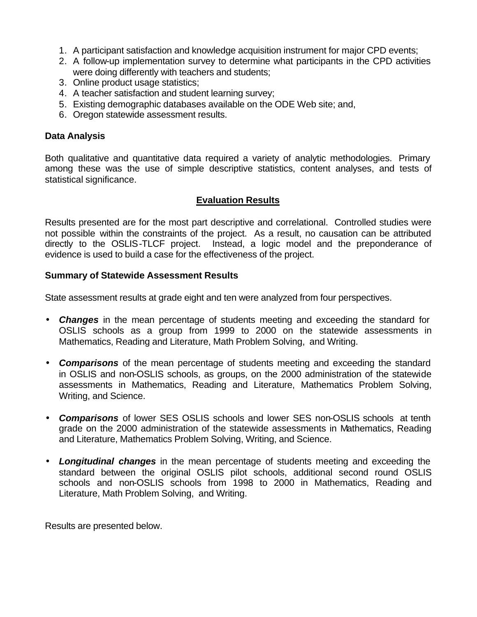- 1. A participant satisfaction and knowledge acquisition instrument for major CPD events;
- 2. A follow-up implementation survey to determine what participants in the CPD activities were doing differently with teachers and students;
- 3. Online product usage statistics;
- 4. A teacher satisfaction and student learning survey;
- 5. Existing demographic databases available on the ODE Web site; and,
- 6. Oregon statewide assessment results.

#### **Data Analysis**

Both qualitative and quantitative data required a variety of analytic methodologies. Primary among these was the use of simple descriptive statistics, content analyses, and tests of statistical significance.

### **Evaluation Results**

Results presented are for the most part descriptive and correlational. Controlled studies were not possible within the constraints of the project. As a result, no causation can be attributed directly to the OSLIS-TLCF project. Instead, a logic model and the preponderance of evidence is used to build a case for the effectiveness of the project.

#### **Summary of Statewide Assessment Results**

State assessment results at grade eight and ten were analyzed from four perspectives.

- *Changes* in the mean percentage of students meeting and exceeding the standard for OSLIS schools as a group from 1999 to 2000 on the statewide assessments in Mathematics, Reading and Literature, Math Problem Solving, and Writing.
- *Comparisons* of the mean percentage of students meeting and exceeding the standard in OSLIS and non-OSLIS schools, as groups, on the 2000 administration of the statewide assessments in Mathematics, Reading and Literature, Mathematics Problem Solving, Writing, and Science.
- *Comparisons* of lower SES OSLIS schools and lower SES non-OSLIS schools at tenth grade on the 2000 administration of the statewide assessments in Mathematics, Reading and Literature, Mathematics Problem Solving, Writing, and Science.
- *Longitudinal changes* in the mean percentage of students meeting and exceeding the standard between the original OSLIS pilot schools, additional second round OSLIS schools and non-OSLIS schools from 1998 to 2000 in Mathematics, Reading and Literature, Math Problem Solving, and Writing.

Results are presented below.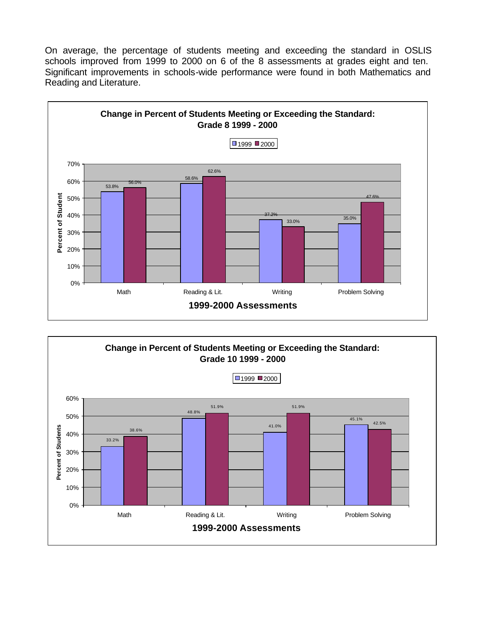On average, the percentage of students meeting and exceeding the standard in OSLIS schools improved from 1999 to 2000 on 6 of the 8 assessments at grades eight and ten. Significant improvements in schools-wide performance were found in both Mathematics and Reading and Literature.



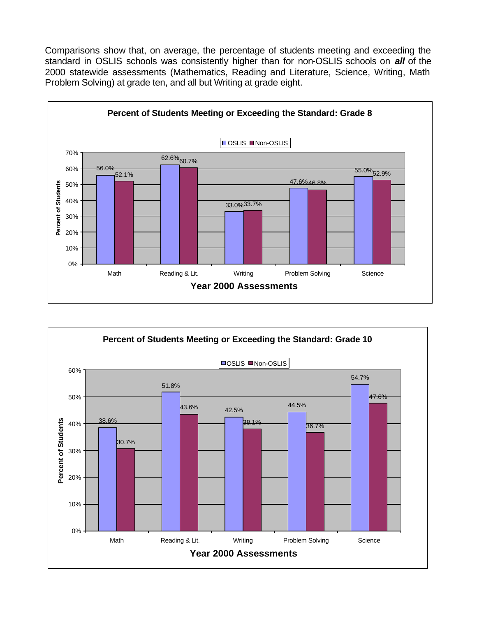Comparisons show that, on average, the percentage of students meeting and exceeding the standard in OSLIS schools was consistently higher than for non-OSLIS schools on *all* of the 2000 statewide assessments (Mathematics, Reading and Literature, Science, Writing, Math Problem Solving) at grade ten, and all but Writing at grade eight.



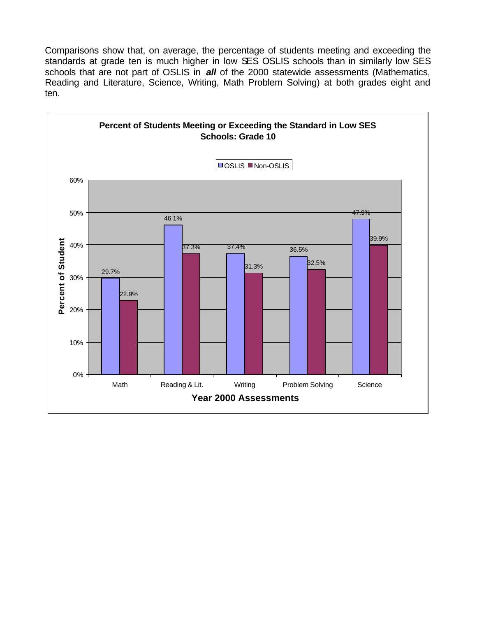Comparisons show that, on average, the percentage of students meeting and exceeding the standards at grade ten is much higher in low SES OSLIS schools than in similarly low SES schools that are not part of OSLIS in *all* of the 2000 statewide assessments (Mathematics, Reading and Literature, Science, Writing, Math Problem Solving) at both grades eight and ten.

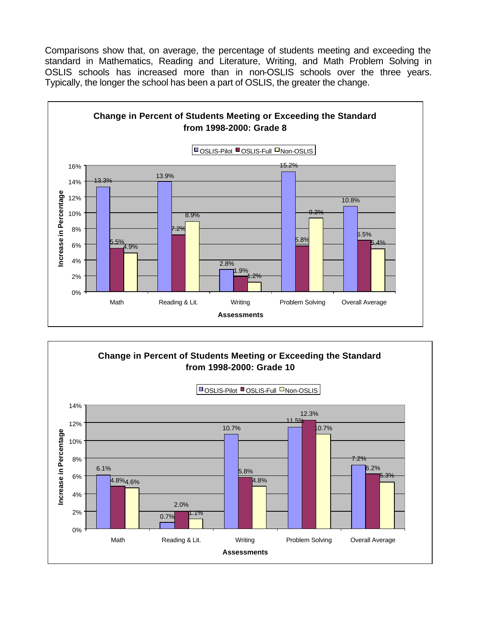Comparisons show that, on average, the percentage of students meeting and exceeding the standard in Mathematics, Reading and Literature, Writing, and Math Problem Solving in OSLIS schools has increased more than in non-OSLIS schools over the three years. Typically, the longer the school has been a part of OSLIS, the greater the change.



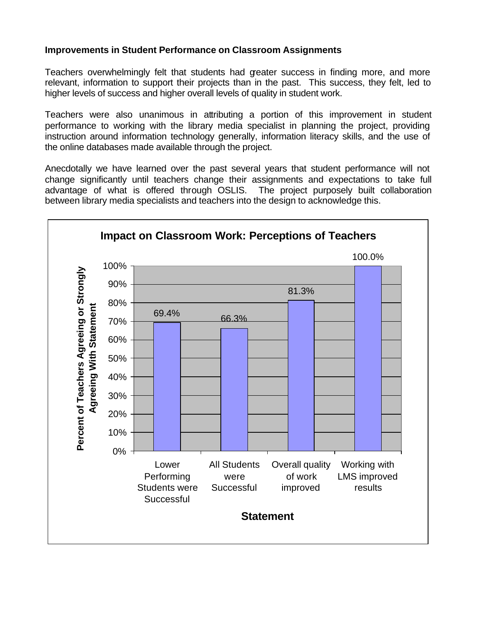## **Improvements in Student Performance on Classroom Assignments**

Teachers overwhelmingly felt that students had greater success in finding more, and more relevant, information to support their projects than in the past. This success, they felt, led to higher levels of success and higher overall levels of quality in student work.

Teachers were also unanimous in attributing a portion of this improvement in student performance to working with the library media specialist in planning the project, providing instruction around information technology generally, information literacy skills, and the use of the online databases made available through the project.

Anecdotally we have learned over the past several years that student performance will not change significantly until teachers change their assignments and expectations to take full advantage of what is offered through OSLIS. The project purposely built collaboration between library media specialists and teachers into the design to acknowledge this.

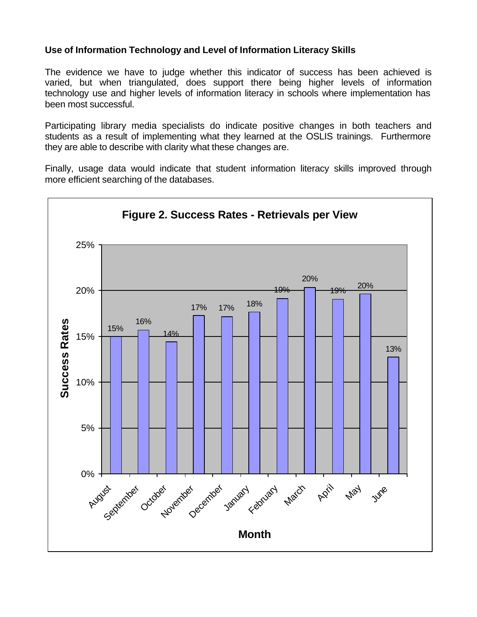## **Use of Information Technology and Level of Information Literacy Skills**

The evidence we have to judge whether this indicator of success has been achieved is varied, but when triangulated, does support there being higher levels of information technology use and higher levels of information literacy in schools where implementation has been most successful.

Participating library media specialists do indicate positive changes in both teachers and students as a result of implementing what they learned at the OSLIS trainings. Furthermore they are able to describe with clarity what these changes are.

Finally, usage data would indicate that student information literacy skills improved through more efficient searching of the databases.

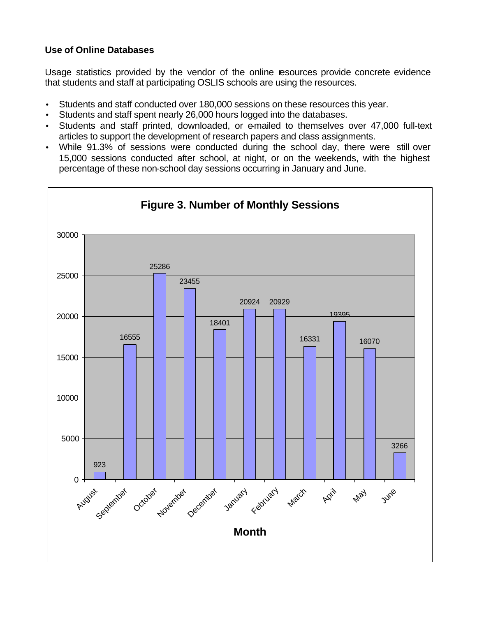## **Use of Online Databases**

Usage statistics provided by the vendor of the online resources provide concrete evidence that students and staff at participating OSLIS schools are using the resources.

- Students and staff conducted over 180,000 sessions on these resources this year.
- Students and staff spent nearly 26,000 hours logged into the databases.
- Students and staff printed, downloaded, or e-mailed to themselves over 47,000 full-text articles to support the development of research papers and class assignments.
- While 91.3% of sessions were conducted during the school day, there were still over 15,000 sessions conducted after school, at night, or on the weekends, with the highest percentage of these non-school day sessions occurring in January and June.